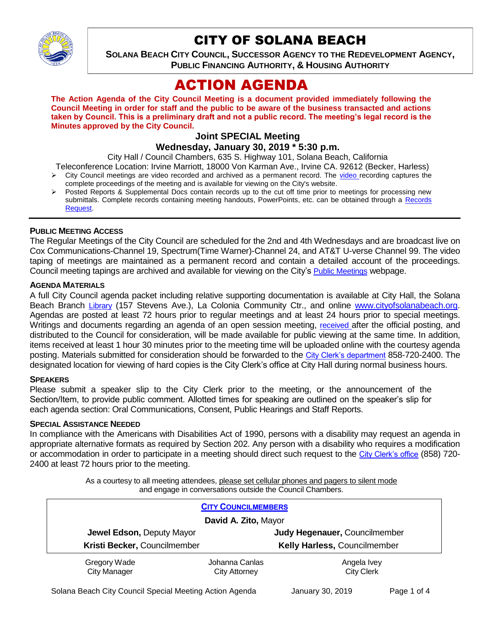

# CITY OF SOLANA BEACH

**SOLANA BEACH CITY COUNCIL, SUCCESSOR AGENCY TO THE REDEVELOPMENT AGENCY, PUBLIC FINANCING AUTHORITY, & HOUSING AUTHORITY** 

# ACTION AGENDA

**The Action Agenda of the City Council Meeting is a document provided immediately following the Council Meeting in order for staff and the public to be aware of the business transacted and actions taken by Council. This is a preliminary draft and not a public record. The meeting's legal record is the Minutes approved by the City Council.**

# **Joint SPECIAL Meeting**

**Wednesday, January 30, 2019 \* 5:30 p.m.**

City Hall / Council Chambers, 635 S. Highway 101, Solana Beach, California

- Teleconference Location: Irvine Marriott, 18000 Von Karman Ave., Irvine CA. 92612 (Becker, Harless) City Council meetings are video recorded and archived as a permanent record. The [video r](https://solanabeach.12milesout.com/#page=1)ecording captures the
- complete proceedings of the meeting and is available for viewing on the City's website.
- Posted Reports & Supplemental Docs contain records up to the cut off time prior to meetings for processing new submittals. Complete records containing meeting handouts, PowerPoints, etc. can be obtained through a [Records](http://www.ci.solana-beach.ca.us/index.asp?SEC=F5D45D10-70CE-4291-A27C-7BD633FC6742&Type=B_BASIC)  [Request.](http://www.ci.solana-beach.ca.us/index.asp?SEC=F5D45D10-70CE-4291-A27C-7BD633FC6742&Type=B_BASIC)

#### **PUBLIC MEETING ACCESS**

The Regular Meetings of the City Council are scheduled for the 2nd and 4th Wednesdays and are broadcast live on Cox Communications-Channel 19, Spectrum(Time Warner)-Channel 24, and AT&T U-verse Channel 99. The video taping of meetings are maintained as a permanent record and contain a detailed account of the proceedings. Council meeting tapings are archived and available for viewing on the City's [Public Meetings](https://www.ci.solana-beach.ca.us/index.asp?SEC=F0F1200D-21C6-4A88-8AE1-0BC07C1A81A7&Type=B_BASIC) webpage.

#### **AGENDA MATERIALS**

A full City Council agenda packet including relative supporting documentation is available at City Hall, the Solana Beach Branch [Library](http://www.sdcl.org/locations_SB.html) (157 Stevens Ave.), La Colonia Community Ctr., and online [www.cityofsolanabeach.org.](http://www.cityofsolanabeach.org/) Agendas are posted at least 72 hours prior to regular meetings and at least 24 hours prior to special meetings. Writings and documents regarding an agenda of an open session meeting, [received](mailto:EMAILGRP-CityClerksOfc@cosb.org) after the official posting, and distributed to the Council for consideration, will be made available for public viewing at the same time. In addition, items received at least 1 hour 30 minutes prior to the meeting time will be uploaded online with the courtesy agenda posting. Materials submitted for consideration should be forwarded to the [City Clerk's department](mailto:EMAILGRP-CityClerksOfc@cosb.org) 858-720-2400. The designated location for viewing of hard copies is the City Clerk's office at City Hall during normal business hours.

#### **SPEAKERS**

Please submit a speaker slip to the City Clerk prior to the meeting, or the announcement of the Section/Item, to provide public comment. Allotted times for speaking are outlined on the speaker's slip for each agenda section: Oral Communications, Consent, Public Hearings and Staff Reports.

#### **SPECIAL ASSISTANCE NEEDED**

In compliance with the Americans with Disabilities Act of 1990, persons with a disability may request an agenda in appropriate alternative formats as required by Section 202. Any person with a disability who requires a modification or accommodation in order to participate in a meeting should direct such request to the [City Clerk's office](mailto:clerkadmin@cosb.org?subject=City%20Clerk%20Notice%20of%20Special%20Services%20Needed) (858) 720- 2400 at least 72 hours prior to the meeting.

> As a courtesy to all meeting attendees, please set cellular phones and pagers to silent mode and engage in conversations outside the Council Chambers.

| <b>CITY COUNCILMEMBERS</b>          |                                        |                                  |
|-------------------------------------|----------------------------------------|----------------------------------|
| David A. Zito, Mayor                |                                        |                                  |
| Jewel Edson, Deputy Mayor           |                                        | Judy Hegenauer, Councilmember    |
| Kristi Becker, Councilmember        |                                        | Kelly Harless, Councilmember     |
| Gregory Wade<br><b>City Manager</b> | Johanna Canlas<br><b>City Attorney</b> | Angela Ivey<br><b>City Clerk</b> |

Solana Beach City Council Special Meeting Action Agenda January 30, 2019 Page 1 of 4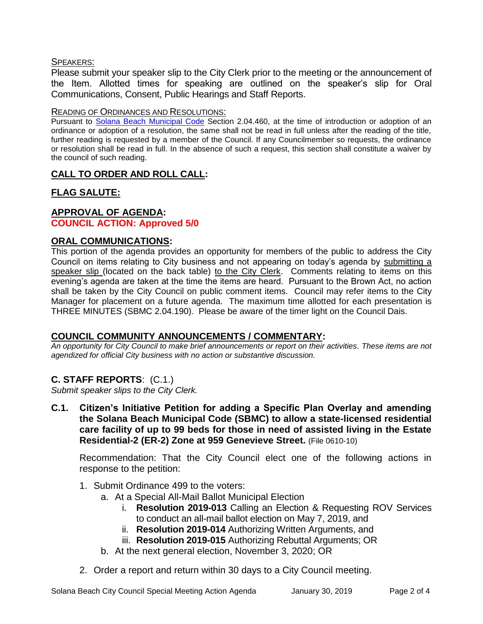#### SPEAKERS:

Please submit your speaker slip to the City Clerk prior to the meeting or the announcement of the Item. Allotted times for speaking are outlined on the speaker's slip for Oral Communications, Consent, Public Hearings and Staff Reports.

#### READING OF ORDINANCES AND RESOLUTIONS:

Pursuant to [Solana Beach Municipal Code](mailto:https://www.codepublishing.com/CA/SolanaBeach/) Section 2.04.460, at the time of introduction or adoption of an ordinance or adoption of a resolution, the same shall not be read in full unless after the reading of the title, further reading is requested by a member of the Council. If any Councilmember so requests, the ordinance or resolution shall be read in full. In the absence of such a request, this section shall constitute a waiver by the council of such reading.

## **CALL TO ORDER AND ROLL CALL:**

# **FLAG SALUTE:**

# **APPROVAL OF AGENDA:**

### **COUNCIL ACTION: Approved 5/0**

#### **ORAL COMMUNICATIONS:**

This portion of the agenda provides an opportunity for members of the public to address the City Council on items relating to City business and not appearing on today's agenda by submitting a speaker slip (located on the back table) to the City Clerk. Comments relating to items on this evening's agenda are taken at the time the items are heard. Pursuant to the Brown Act, no action shall be taken by the City Council on public comment items. Council may refer items to the City Manager for placement on a future agenda. The maximum time allotted for each presentation is THREE MINUTES (SBMC 2.04.190). Please be aware of the timer light on the Council Dais.

### **COUNCIL COMMUNITY ANNOUNCEMENTS / COMMENTARY:**

*An opportunity for City Council to make brief announcements or report on their activities. These items are not agendized for official City business with no action or substantive discussion.* 

### **C. STAFF REPORTS**: (C.1.)

*Submit speaker slips to the City Clerk.*

**C.1. Citizen's Initiative Petition for adding a Specific Plan Overlay and amending the Solana Beach Municipal Code (SBMC) to allow a state-licensed residential care facility of up to 99 beds for those in need of assisted living in the Estate Residential-2 (ER-2) Zone at 959 Genevieve Street.** (File 0610-10)

Recommendation: That the City Council elect one of the following actions in response to the petition:

- 1. Submit Ordinance 499 to the voters:
	- a. At a Special All-Mail Ballot Municipal Election
		- i. **Resolution 2019-013** Calling an Election & Requesting ROV Services to conduct an all-mail ballot election on May 7, 2019, and
		- ii. **Resolution 2019-014** Authorizing Written Arguments, and
		- iii. **Resolution 2019-015** Authorizing Rebuttal Arguments; OR
	- b. At the next general election, November 3, 2020; OR
- 2. Order a report and return within 30 days to a City Council meeting.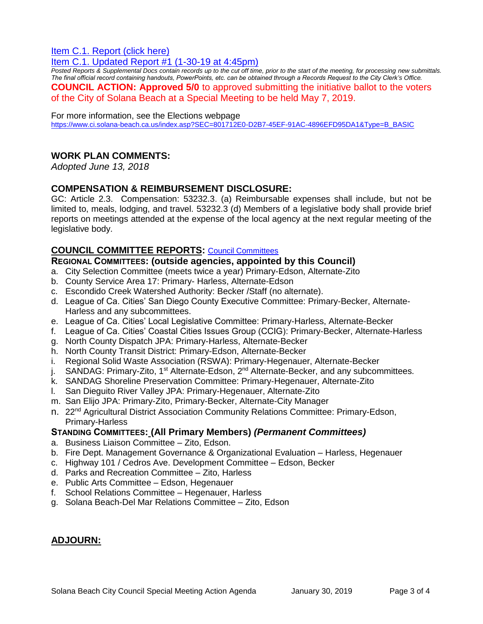## [Item C.1. Report \(click here\)](https://solanabeach.govoffice3.com/vertical/Sites/%7B840804C2-F869-4904-9AE3-720581350CE7%7D/uploads/Item_C.1._Report_(click_here)_1-30-19.pdf)

## [Item C.1. Updated Report #1 \(1-30-19 at 4:45pm\)](https://solanabeach.govoffice3.com/vertical/Sites/%7B840804C2-F869-4904-9AE3-720581350CE7%7D/uploads/C.1._Updated_Report_1_-_1-30-19.pdf)

*Posted Reports & Supplemental Docs contain records up to the cut off time, prior to the start of the meeting, for processing new submittals. The final official record containing handouts, PowerPoints, etc. can be obtained through a Records Request to the City Clerk's Office.* **COUNCIL ACTION: Approved 5/0** to approved submitting the initiative ballot to the voters of the City of Solana Beach at a Special Meeting to be held May 7, 2019.

#### For more information, see the Elections webpage

[https://www.ci.solana-beach.ca.us/index.asp?SEC=801712E0-D2B7-45EF-91AC-4896EFD95DA1&Type=B\\_BASIC](https://www.ci.solana-beach.ca.us/index.asp?SEC=801712E0-D2B7-45EF-91AC-4896EFD95DA1&Type=B_BASIC)

#### **WORK PLAN COMMENTS:**

*Adopted June 13, 2018*

#### **COMPENSATION & REIMBURSEMENT DISCLOSURE:**

GC: Article 2.3. Compensation: 53232.3. (a) Reimbursable expenses shall include, but not be limited to, meals, lodging, and travel. 53232.3 (d) Members of a legislative body shall provide brief reports on meetings attended at the expense of the local agency at the next regular meeting of the legislative body.

#### **COUNCIL COMMITTEE REPORTS:** [Council Committees](https://www.ci.solana-beach.ca.us/index.asp?SEC=584E1192-3850-46EA-B977-088AC3E81E0D&Type=B_BASIC)

#### **REGIONAL COMMITTEES: (outside agencies, appointed by this Council)**

- a. City Selection Committee (meets twice a year) Primary-Edson, Alternate-Zito
- b. County Service Area 17: Primary- Harless, Alternate-Edson
- c. Escondido Creek Watershed Authority: Becker /Staff (no alternate).
- d. League of Ca. Cities' San Diego County Executive Committee: Primary-Becker, Alternate-Harless and any subcommittees.
- e. League of Ca. Cities' Local Legislative Committee: Primary-Harless, Alternate-Becker
- f. League of Ca. Cities' Coastal Cities Issues Group (CCIG): Primary-Becker, Alternate-Harless
- g. North County Dispatch JPA: Primary-Harless, Alternate-Becker
- h. North County Transit District: Primary-Edson, Alternate-Becker
- i. Regional Solid Waste Association (RSWA): Primary-Hegenauer, Alternate-Becker
- j. SANDAG: Primary-Zito, 1<sup>st</sup> Alternate-Edson, 2<sup>nd</sup> Alternate-Becker, and any subcommittees.
- k. SANDAG Shoreline Preservation Committee: Primary-Hegenauer, Alternate-Zito
- l. San Dieguito River Valley JPA: Primary-Hegenauer, Alternate-Zito
- m. San Elijo JPA: Primary-Zito, Primary-Becker, Alternate-City Manager
- n. 22<sup>nd</sup> Agricultural District Association Community Relations Committee: Primary-Edson, Primary-Harless

#### **STANDING COMMITTEES: (All Primary Members)** *(Permanent Committees)*

- a. Business Liaison Committee Zito, Edson.
- b. Fire Dept. Management Governance & Organizational Evaluation Harless, Hegenauer
- c. Highway 101 / Cedros Ave. Development Committee Edson, Becker
- d. Parks and Recreation Committee Zito, Harless
- e. Public Arts Committee Edson, Hegenauer
- f. School Relations Committee Hegenauer, Harless
- g. Solana Beach-Del Mar Relations Committee Zito, Edson

### **ADJOURN:**